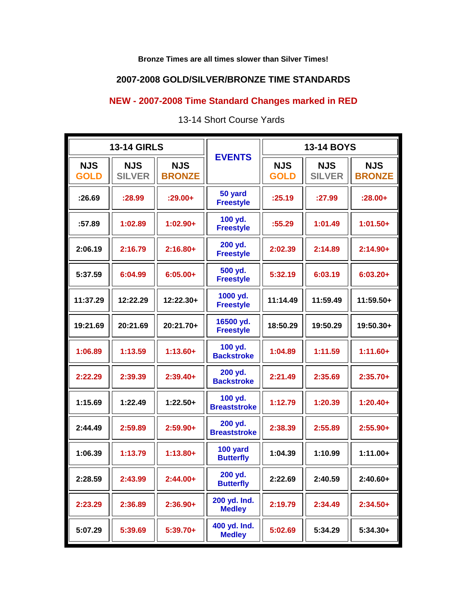## **Bronze Times are all times slower than Silver Times!**

## **2007-2008 GOLD/SILVER/BRONZE TIME STANDARDS**

## **NEW - 2007-2008 Time Standard Changes marked in RED**

| <b>13-14 GIRLS</b>        |                             |                             |                                | <b>13-14 BOYS</b>         |                             |                             |
|---------------------------|-----------------------------|-----------------------------|--------------------------------|---------------------------|-----------------------------|-----------------------------|
| <b>NJS</b><br><b>GOLD</b> | <b>NJS</b><br><b>SILVER</b> | <b>NJS</b><br><b>BRONZE</b> | <b>EVENTS</b>                  | <b>NJS</b><br><b>GOLD</b> | <b>NJS</b><br><b>SILVER</b> | <b>NJS</b><br><b>BRONZE</b> |
| :26.69                    | :28.99                      | $:29.00+$                   | 50 yard<br><b>Freestyle</b>    | :25.19                    | :27.99                      | $:28.00+$                   |
| :57.89                    | 1:02.89                     | $1:02.90+$                  | 100 yd.<br><b>Freestyle</b>    | :55.29                    | 1:01.49                     | $1:01.50+$                  |
| 2:06.19                   | 2:16.79                     | $2:16.80+$                  | 200 yd.<br><b>Freestyle</b>    | 2:02.39                   | 2:14.89                     | $2:14.90+$                  |
| 5:37.59                   | 6:04.99                     | $6:05.00+$                  | 500 yd.<br><b>Freestyle</b>    | 5:32.19                   | 6:03.19                     | $6:03.20+$                  |
| 11:37.29                  | 12:22.29                    | $12:22.30+$                 | 1000 yd.<br><b>Freestyle</b>   | 11:14.49                  | 11:59.49                    | 11:59.50+                   |
| 19:21.69                  | 20:21.69                    | 20:21.70+                   | 16500 yd.<br><b>Freestyle</b>  | 18:50.29                  | 19:50.29                    | 19:50.30+                   |
| 1:06.89                   | 1:13.59                     | $1:13.60+$                  | 100 yd.<br><b>Backstroke</b>   | 1:04.89                   | 1:11.59                     | $1:11.60+$                  |
| 2:22.29                   | 2:39.39                     | $2:39.40+$                  | 200 yd.<br><b>Backstroke</b>   | 2:21.49                   | 2:35.69                     | $2:35.70+$                  |
| 1:15.69                   | 1:22.49                     | $1:22.50+$                  | 100 yd.<br><b>Breaststroke</b> | 1:12.79                   | 1:20.39                     | $1:20.40+$                  |
| 2:44.49                   | 2:59.89                     | $2:59.90+$                  | 200 yd.<br><b>Breaststroke</b> | 2:38.39                   | 2:55.89                     | $2:55.90+$                  |
| 1:06.39                   | 1:13.79                     | $1:13.80+$                  | 100 yard<br><b>Butterfly</b>   | 1:04.39                   | 1:10.99                     | $1:11.00+$                  |
| 2:28.59                   | 2:43.99                     | $2:44.00+$                  | 200 yd.<br><b>Butterfly</b>    | 2:22.69                   | 2:40.59                     | $2:40.60+$                  |
| 2:23.29                   | 2:36.89                     | $2:36.90+$                  | 200 yd. Ind.<br><b>Medley</b>  | 2:19.79                   | 2:34.49                     | $2:34.50+$                  |
| 5:07.29                   | 5:39.69                     | $5:39.70+$                  | 400 yd. Ind.<br><b>Medley</b>  | 5:02.69                   | 5:34.29                     | $5:34.30+$                  |

13-14 Short Course Yards